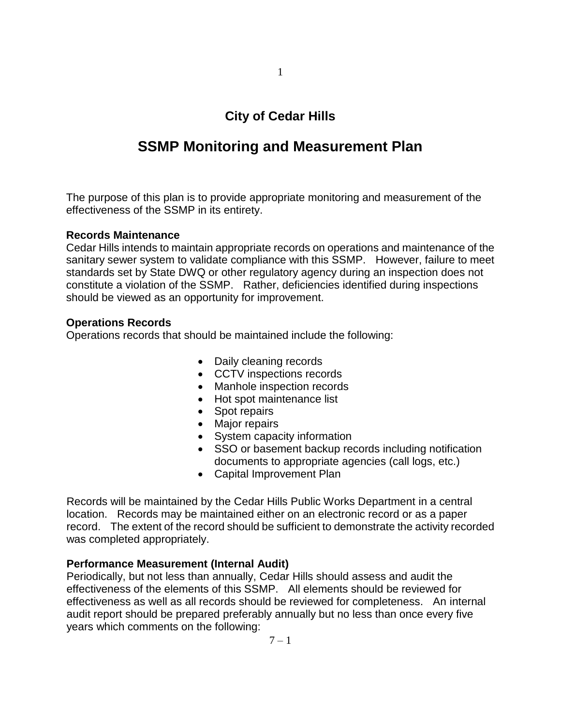# **City of Cedar Hills**

# **SSMP Monitoring and Measurement Plan**

The purpose of this plan is to provide appropriate monitoring and measurement of the effectiveness of the SSMP in its entirety.

#### **Records Maintenance**

Cedar Hills intends to maintain appropriate records on operations and maintenance of the sanitary sewer system to validate compliance with this SSMP. However, failure to meet standards set by State DWQ or other regulatory agency during an inspection does not constitute a violation of the SSMP. Rather, deficiencies identified during inspections should be viewed as an opportunity for improvement.

## **Operations Records**

Operations records that should be maintained include the following:

- Daily cleaning records
- CCTV inspections records
- Manhole inspection records
- Hot spot maintenance list
- Spot repairs
- Major repairs
- System capacity information
- SSO or basement backup records including notification documents to appropriate agencies (call logs, etc.)
- Capital Improvement Plan

Records will be maintained by the Cedar Hills Public Works Department in a central location. Records may be maintained either on an electronic record or as a paper record. The extent of the record should be sufficient to demonstrate the activity recorded was completed appropriately.

# **Performance Measurement (Internal Audit)**

Periodically, but not less than annually, Cedar Hills should assess and audit the effectiveness of the elements of this SSMP. All elements should be reviewed for effectiveness as well as all records should be reviewed for completeness. An internal audit report should be prepared preferably annually but no less than once every five years which comments on the following: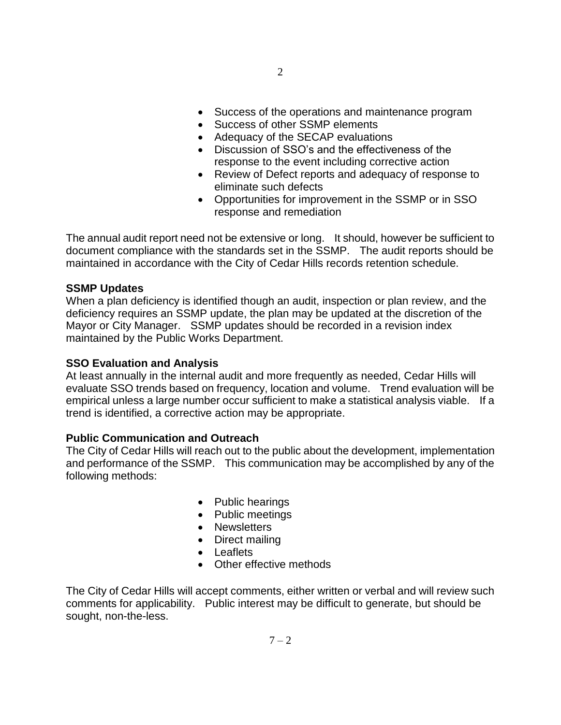- Success of the operations and maintenance program
- Success of other SSMP elements
- Adequacy of the SECAP evaluations
- Discussion of SSO's and the effectiveness of the response to the event including corrective action
- Review of Defect reports and adequacy of response to eliminate such defects
- Opportunities for improvement in the SSMP or in SSO response and remediation

The annual audit report need not be extensive or long. It should, however be sufficient to document compliance with the standards set in the SSMP. The audit reports should be maintained in accordance with the City of Cedar Hills records retention schedule.

## **SSMP Updates**

When a plan deficiency is identified though an audit, inspection or plan review, and the deficiency requires an SSMP update, the plan may be updated at the discretion of the Mayor or City Manager. SSMP updates should be recorded in a revision index maintained by the Public Works Department.

#### **SSO Evaluation and Analysis**

At least annually in the internal audit and more frequently as needed, Cedar Hills will evaluate SSO trends based on frequency, location and volume. Trend evaluation will be empirical unless a large number occur sufficient to make a statistical analysis viable. If a trend is identified, a corrective action may be appropriate.

#### **Public Communication and Outreach**

The City of Cedar Hills will reach out to the public about the development, implementation and performance of the SSMP. This communication may be accomplished by any of the following methods:

- Public hearings
- Public meetings
- Newsletters
- Direct mailing
- Leaflets
- Other effective methods

The City of Cedar Hills will accept comments, either written or verbal and will review such comments for applicability. Public interest may be difficult to generate, but should be sought, non-the-less.